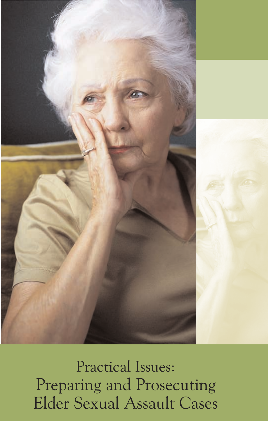

Practical Issues: Preparing and Prosecuting Elder Sexual Assault Cases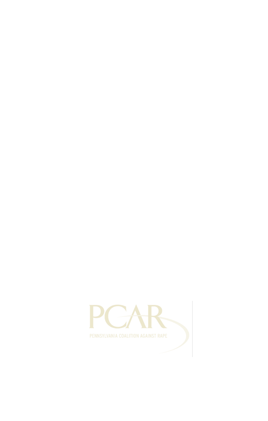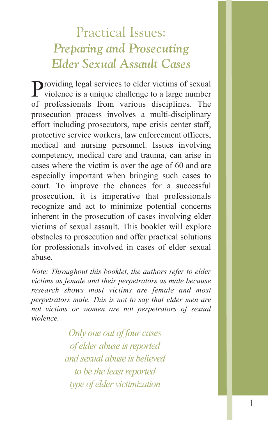### Practical Issues: *Preparing and Prosecuting Elder Sexual Assault Cases*

Providing legal services to elder victims of sexual violence is a unique challenge to a large number of professionals from various disciplines. The prosecution process involves a multi-disciplinary effort including prosecutors, rape crisis center staff, protective service workers, law enforcement officers, medical and nursing personnel. Issues involving competency, medical care and trauma, can arise in cases where the victim is over the age of 60 and are especially important when bringing such cases to court. To improve the chances for a successful prosecution, it is imperative that professionals recognize and act to minimize potential concerns inherent in the prosecution of cases involving elder victims of sexual assault. This booklet will explore obstacles to prosecution and offer practical solutions for professionals involved in cases of elder sexual abuse.

*Note: Throughout this booklet, the authors refer to elder victims as female and their perpetrators as male because research shows most victims are female and most perpetrators male. This is not to say that elder men are not victims or women are not perpetrators of sexual violence.*

> *Only one out of four cases of elder abuse is reported and sexual abuse is believed to be the least reported type of elder victimization*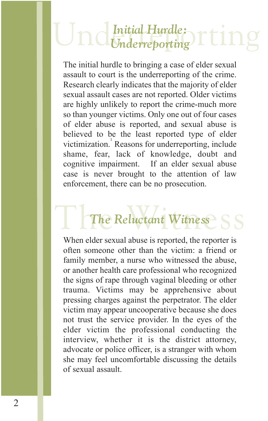## Underreporting rting *Underreporting*

The initial hurdle to bringing a case of elder sexual assault to court is the underreporting of the crime. Research clearly indicates that the majority of elder sexual assault cases are not reported. Older victims are highly unlikely to report the crime-much more so than younger victims. Only one out of four cases of elder abuse is reported, and sexual abuse is believed to be the least reported type of elder victimization.<sup>1</sup> Reasons for underreporting, include shame, fear, lack of knowledge, doubt and cognitive impairment. If an elder sexual abuse case is never brought to the attention of law enforcement, there can be no prosecution.

# The Reluctant Witness SS *The Reluctant Witness*

When elder sexual abuse is reported, the reporter is often someone other than the victim: a friend or family member, a nurse who witnessed the abuse, or another health care professional who recognized the signs of rape through vaginal bleeding or other trauma. Victims may be apprehensive about pressing charges against the perpetrator. The elder victim may appear uncooperative because she does not trust the service provider. In the eyes of the elder victim the professional conducting the interview, whether it is the district attorney, advocate or police officer, is a stranger with whom she may feel uncomfortable discussing the details of sexual assault.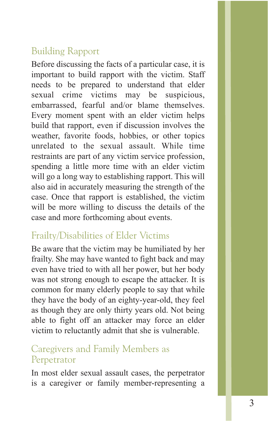#### Building Rapport

Before discussing the facts of a particular case, it is important to build rapport with the victim. Staff needs to be prepared to understand that elder sexual crime victims may be suspicious, embarrassed, fearful and/or blame themselves. Every moment spent with an elder victim helps build that rapport, even if discussion involves the weather, favorite foods, hobbies, or other topics unrelated to the sexual assault. While time restraints are part of any victim service profession, spending a little more time with an elder victim will go a long way to establishing rapport. This will also aid in accurately measuring the strength of the case. Once that rapport is established, the victim will be more willing to discuss the details of the case and more forthcoming about events.

#### Frailty/Disabilities of Elder Victims

Be aware that the victim may be humiliated by her frailty. She may have wanted to fight back and may even have tried to with all her power, but her body was not strong enough to escape the attacker. It is common for many elderly people to say that while they have the body of an eighty-year-old, they feel as though they are only thirty years old. Not being able to fight off an attacker may force an elder victim to reluctantly admit that she is vulnerable.

#### Caregivers and Family Members as Perpetrator

In most elder sexual assault cases, the perpetrator is a caregiver or family member-representing a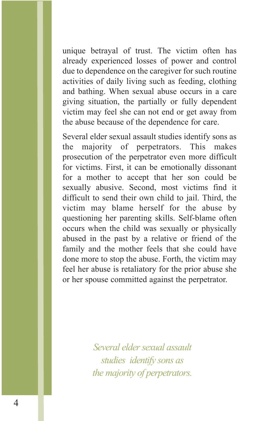unique betrayal of trust. The victim often has already experienced losses of power and control due to dependence on the caregiver for such routine activities of daily living such as feeding, clothing and bathing. When sexual abuse occurs in a care giving situation, the partially or fully dependent victim may feel she can not end or get away from the abuse because of the dependence for care.

Several elder sexual assault studies identify sons as the majority of perpetrators. This makes prosecution of the perpetrator even more difficult for victims. First, it can be emotionally dissonant for a mother to accept that her son could be sexually abusive. Second, most victims find it difficult to send their own child to jail. Third, the victim may blame herself for the abuse by questioning her parenting skills. Self-blame often occurs when the child was sexually or physically abused in the past by a relative or friend of the family and the mother feels that she could have done more to stop the abuse. Forth, the victim may feel her abuse is retaliatory for the prior abuse she or her spouse committed against the perpetrator.

> *Several elder sexual assault studies identify sons as the majority of perpetrators.*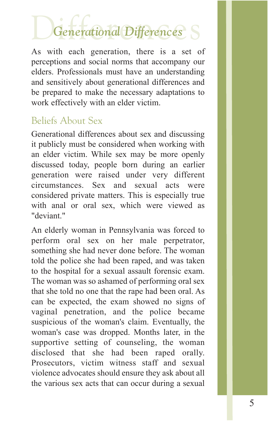# Differences *Generational Differences*

As with each generation, there is a set of perceptions and social norms that accompany our elders. Professionals must have an understanding and sensitively about generational differences and be prepared to make the necessary adaptations to work effectively with an elder victim.

#### Beliefs About Sex

Generational differences about sex and discussing it publicly must be considered when working with an elder victim. While sex may be more openly discussed today, people born during an earlier generation were raised under very different circumstances. Sex and sexual acts were considered private matters. This is especially true with anal or oral sex, which were viewed as "deviant."

An elderly woman in Pennsylvania was forced to perform oral sex on her male perpetrator, something she had never done before. The woman told the police she had been raped, and was taken to the hospital for a sexual assault forensic exam. The woman was so ashamed of performing oral sex that she told no one that the rape had been oral. As can be expected, the exam showed no signs of vaginal penetration, and the police became suspicious of the woman's claim. Eventually, the woman's case was dropped. Months later, in the supportive setting of counseling, the woman disclosed that she had been raped orally. Prosecutors, victim witness staff and sexual violence advocates should ensure they ask about all the various sex acts that can occur during a sexual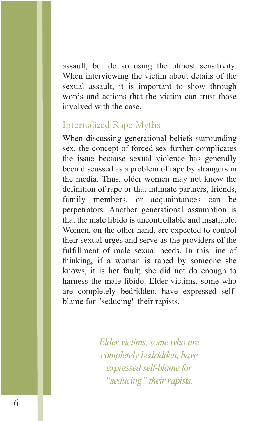assault, but do so using the utmost sensitivity. When interviewing the victim about details of the sexual assault, it is important to show through words and actions that the victim can trust those involved with the case.

#### Internalized Rape Myths

When discussing generational beliefs surrounding sex, the concept of forced sex further complicates the issue because sexual violence has generally been discussed as a problem of rape by strangers in the media. Thus, older women may not know the definition of rape or that intimate partners, friends, family members, or acquaintances can be perpetrators. Another generational assumption is that the male libido is uncontrollable and insatiable. Women, on the other hand, are expected to control their sexual urges and serve as the providers of the fulfillment of male sexual needs. In this line of thinking, if a woman is raped by someone she knows, it is her fault; she did not do enough to harness the male libido. Elder victims, some who are completely bedridden, have expressed selfblame for "seducing" their rapists.

> *Elder victims, some who are completely bedridden, have expressed self-blame for "seducing" their rapists.*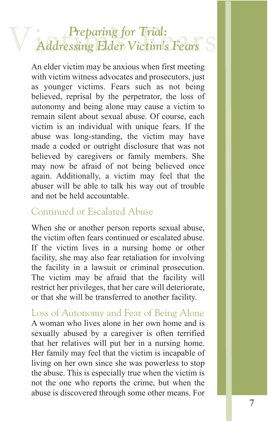# **V** Addressing Elder Victim's Fears S *Addressing Elder Victim's Fears*

An elder victim may be anxious when first meeting with victim witness advocates and prosecutors, just as younger victims. Fears such as not being believed, reprisal by the perpetrator, the loss of autonomy and being alone may cause a victim to remain silent about sexual abuse. Of course, each victim is an individual with unique fears. If the abuse was long-standing, the victim may have made a coded or outright disclosure that was not believed by caregivers or family members. She may now be afraid of not being believed once again. Additionally, a victim may feel that the abuser will be able to talk his way out of trouble and not be held accountable.

#### Continued or Escalated Abuse

When she or another person reports sexual abuse, the victim often fears continued or escalated abuse. If the victim lives in a nursing home or other facility, she may also fear retaliation for involving the facility in a lawsuit or criminal prosecution. The victim may be afraid that the facility will restrict her privileges, that her care will deteriorate, or that she will be transferred to another facility.

Loss of Autonomy and Fear of Being Alone A woman who lives alone in her own home and is sexually abused by a caregiver is often terrified that her relatives will put her in a nursing home. Her family may feel that the victim is incapable of living on her own since she was powerless to stop the abuse. This is especially true when the victim is not the one who reports the crime, but when the abuse is discovered through some other means. For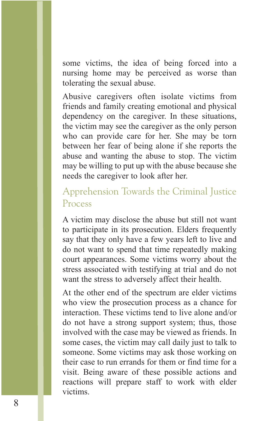some victims, the idea of being forced into a nursing home may be perceived as worse than tolerating the sexual abuse.

Abusive caregivers often isolate victims from friends and family creating emotional and physical dependency on the caregiver. In these situations, the victim may see the caregiver as the only person who can provide care for her. She may be torn between her fear of being alone if she reports the abuse and wanting the abuse to stop. The victim may be willing to put up with the abuse because she needs the caregiver to look after her.

#### Apprehension Towards the Criminal Justice Process

A victim may disclose the abuse but still not want to participate in its prosecution. Elders frequently say that they only have a few years left to live and do not want to spend that time repeatedly making court appearances. Some victims worry about the stress associated with testifying at trial and do not want the stress to adversely affect their health.

At the other end of the spectrum are elder victims who view the prosecution process as a chance for interaction. These victims tend to live alone and/or do not have a strong support system; thus, those involved with the case may be viewed as friends. In some cases, the victim may call daily just to talk to someone. Some victims may ask those working on their case to run errands for them or find time for a visit. Being aware of these possible actions and reactions will prepare staff to work with elder victims.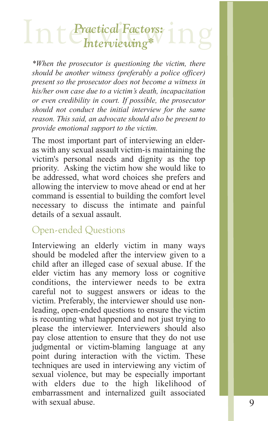# Interviewing<sup>\*</sup> <sup>1</sup>ng

*\*When the prosecutor is questioning the victim, there should be another witness (preferably a police officer) present so the prosecutor does not become a witness in his/her own case due to a victim's death, incapacitation or even credibility in court. If possible, the prosecutor should not conduct the initial interview for the same reason. This said, an advocate should also be present to provide emotional support to the victim.*

The most important part of interviewing an elderas with any sexual assault victim-is maintaining the victim's personal needs and dignity as the top priority. Asking the victim how she would like to be addressed, what word choices she prefers and allowing the interview to move ahead or end at her command is essential to building the comfort level necessary to discuss the intimate and painful details of a sexual assault.

#### Open-ended Questions

Interviewing an elderly victim in many ways should be modeled after the interview given to a child after an illeged case of sexual abuse. If the elder victim has any memory loss or cognitive conditions, the interviewer needs to be extra careful not to suggest answers or ideas to the victim. Preferably, the interviewer should use nonleading, open-ended questions to ensure the victim is recounting what happened and not just trying to please the interviewer. Interviewers should also pay close attention to ensure that they do not use judgmental or victim-blaming language at any point during interaction with the victim. These techniques are used in interviewing any victim of sexual violence, but may be especially important with elders due to the high likelihood of embarrassment and internalized guilt associated with sexual abuse.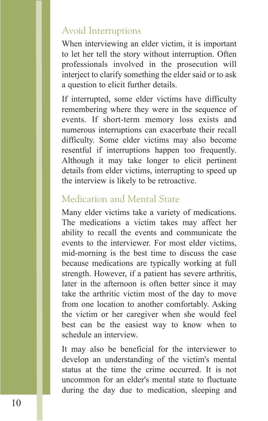#### Avoid Interruptions

When interviewing an elder victim, it is important to let her tell the story without interruption. Often professionals involved in the prosecution will interject to clarify something the elder said or to ask a question to elicit further details.

If interrupted, some elder victims have difficulty remembering where they were in the sequence of events. If short-term memory loss exists and numerous interruptions can exacerbate their recall difficulty. Some elder victims may also become resentful if interruptions happen too frequently. Although it may take longer to elicit pertinent details from elder victims, interrupting to speed up the interview is likely to be retroactive.

#### Medication and Mental State

Many elder victims take a variety of medications. The medications a victim takes may affect her ability to recall the events and communicate the events to the interviewer. For most elder victims, mid-morning is the best time to discuss the case because medications are typically working at full strength. However, if a patient has severe arthritis, later in the afternoon is often better since it may take the arthritic victim most of the day to move from one location to another comfortably. Asking the victim or her caregiver when she would feel best can be the easiest way to know when to schedule an interview.

It may also be beneficial for the interviewer to develop an understanding of the victim's mental status at the time the crime occurred. It is not uncommon for an elder's mental state to fluctuate during the day due to medication, sleeping and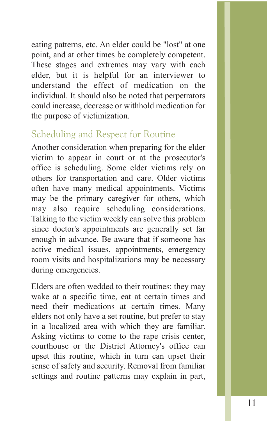eating patterns, etc. An elder could be "lost" at one point, and at other times be completely competent. These stages and extremes may vary with each elder, but it is helpful for an interviewer to understand the effect of medication on the individual. It should also be noted that perpetrators could increase, decrease or withhold medication for the purpose of victimization.

#### Scheduling and Respect for Routine

Another consideration when preparing for the elder victim to appear in court or at the prosecutor's office is scheduling. Some elder victims rely on others for transportation and care. Older victims often have many medical appointments. Victims may be the primary caregiver for others, which may also require scheduling considerations. Talking to the victim weekly can solve this problem since doctor's appointments are generally set far enough in advance. Be aware that if someone has active medical issues, appointments, emergency room visits and hospitalizations may be necessary during emergencies.

Elders are often wedded to their routines: they may wake at a specific time, eat at certain times and need their medications at certain times. Many elders not only have a set routine, but prefer to stay in a localized area with which they are familiar. Asking victims to come to the rape crisis center, courthouse or the District Attorney's office can upset this routine, which in turn can upset their sense of safety and security. Removal from familiar settings and routine patterns may explain in part,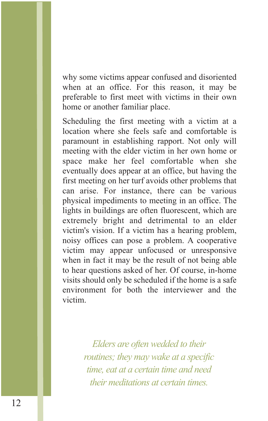why some victims appear confused and disoriented when at an office. For this reason, it may be preferable to first meet with victims in their own home or another familiar place.

Scheduling the first meeting with a victim at a location where she feels safe and comfortable is paramount in establishing rapport. Not only will meeting with the elder victim in her own home or space make her feel comfortable when she eventually does appear at an office, but having the first meeting on her turf avoids other problems that can arise. For instance, there can be various physical impediments to meeting in an office. The lights in buildings are often fluorescent, which are extremely bright and detrimental to an elder victim's vision. If a victim has a hearing problem, noisy offices can pose a problem. A cooperative victim may appear unfocused or unresponsive when in fact it may be the result of not being able to hear questions asked of her. Of course, in-home visits should only be scheduled if the home is a safe environment for both the interviewer and the victim.

> *Elders are often wedded to their routines; they may wake at a specific time, eat at a certain time and need their meditations at certain times.*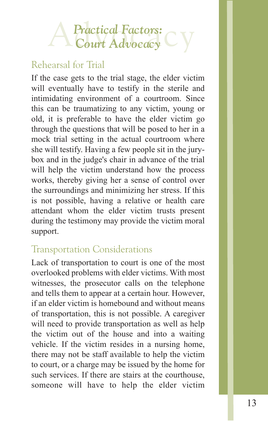# **A Practical Factors: C V**

#### Rehearsal for Trial

If the case gets to the trial stage, the elder victim will eventually have to testify in the sterile and intimidating environment of a courtroom. Since this can be traumatizing to any victim, young or old, it is preferable to have the elder victim go through the questions that will be posed to her in a mock trial setting in the actual courtroom where she will testify. Having a few people sit in the jurybox and in the judge's chair in advance of the trial will help the victim understand how the process works, thereby giving her a sense of control over the surroundings and minimizing her stress. If this is not possible, having a relative or health care attendant whom the elder victim trusts present during the testimony may provide the victim moral support.

#### Transportation Considerations

Lack of transportation to court is one of the most overlooked problems with elder victims. With most witnesses, the prosecutor calls on the telephone and tells them to appear at a certain hour. However, if an elder victim is homebound and without means of transportation, this is not possible. A caregiver will need to provide transportation as well as help the victim out of the house and into a waiting vehicle. If the victim resides in a nursing home, there may not be staff available to help the victim to court, or a charge may be issued by the home for such services. If there are stairs at the courthouse, someone will have to help the elder victim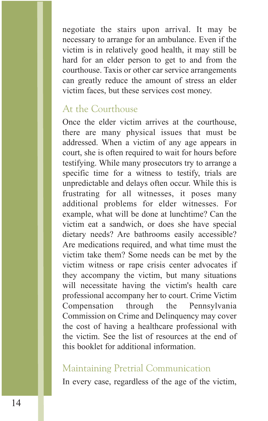negotiate the stairs upon arrival. It may be necessary to arrange for an ambulance. Even if the victim is in relatively good health, it may still be hard for an elder person to get to and from the courthouse. Taxis or other car service arrangements can greatly reduce the amount of stress an elder victim faces, but these services cost money.

#### At the Courthouse

Once the elder victim arrives at the courthouse, there are many physical issues that must be addressed. When a victim of any age appears in court, she is often required to wait for hours before testifying. While many prosecutors try to arrange a specific time for a witness to testify, trials are unpredictable and delays often occur. While this is frustrating for all witnesses, it poses many additional problems for elder witnesses. For example, what will be done at lunchtime? Can the victim eat a sandwich, or does she have special dietary needs? Are bathrooms easily accessible? Are medications required, and what time must the victim take them? Some needs can be met by the victim witness or rape crisis center advocates if they accompany the victim, but many situations will necessitate having the victim's health care professional accompany her to court. Crime Victim Compensation through the Pennsylvania Commission on Crime and Delinquency may cover the cost of having a healthcare professional with the victim. See the list of resources at the end of this booklet for additional information.

#### Maintaining Pretrial Communication

In every case, regardless of the age of the victim,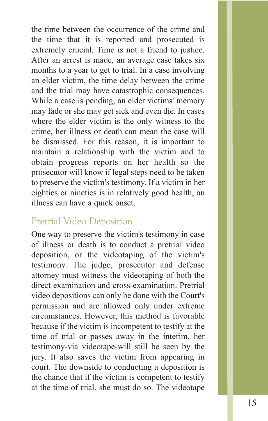the time between the occurrence of the crime and the time that it is reported and prosecuted is extremely crucial. Time is not a friend to justice. After an arrest is made, an average case takes six months to a year to get to trial. In a case involving an elder victim, the time delay between the crime and the trial may have catastrophic consequences. While a case is pending, an elder victims' memory may fade or she may get sick and even die. In cases where the elder victim is the only witness to the crime, her illness or death can mean the case will be dismissed. For this reason, it is important to maintain a relationship with the victim and to obtain progress reports on her health so the prosecutor will know if legal steps need to be taken to preserve the victim's testimony. If a victim in her eighties or nineties is in relatively good health, an illness can have a quick onset.

#### Pretrial Video Deposition

One way to preserve the victim's testimony in case of illness or death is to conduct a pretrial video deposition, or the videotaping of the victim's testimony. The judge, prosecutor and defense attorney must witness the videotaping of both the direct examination and cross-examination. Pretrial video depositions can only be done with the Court's permission and are allowed only under extreme circumstances. However, this method is favorable because if the victim is incompetent to testify at the time of trial or passes away in the interim, her testimony-via videotape-will still be seen by the jury. It also saves the victim from appearing in court. The downside to conducting a deposition is the chance that if the victim is competent to testify at the time of trial, she must do so. The videotape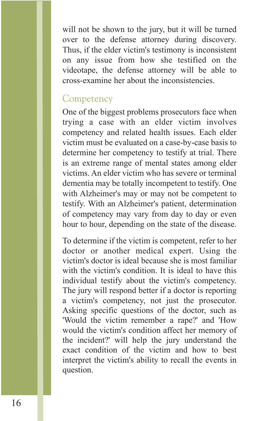will not be shown to the jury, but it will be turned over to the defense attorney during discovery. Thus, if the elder victim's testimony is inconsistent on any issue from how she testified on the videotape, the defense attorney will be able to cross-examine her about the inconsistencies.

#### **Competency**

One of the biggest problems prosecutors face when trying a case with an elder victim involves competency and related health issues. Each elder victim must be evaluated on a case-by-case basis to determine her competency to testify at trial. There is an extreme range of mental states among elder victims. An elder victim who has severe or terminal dementia may be totally incompetent to testify. One with Alzheimer's may or may not be competent to testify. With an Alzheimer's patient, determination of competency may vary from day to day or even hour to hour, depending on the state of the disease.

To determine if the victim is competent, refer to her doctor or another medical expert. Using the victim's doctor is ideal because she is most familiar with the victim's condition. It is ideal to have this individual testify about the victim's competency. The jury will respond better if a doctor is reporting a victim's competency, not just the prosecutor. Asking specific questions of the doctor, such as 'Would the victim remember a rape?' and 'How would the victim's condition affect her memory of the incident?' will help the jury understand the exact condition of the victim and how to best interpret the victim's ability to recall the events in question.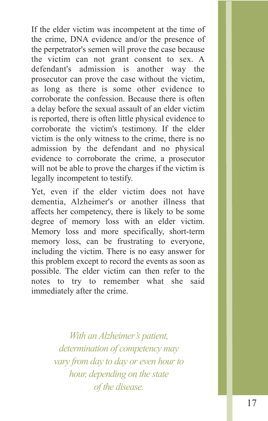If the elder victim was incompetent at the time of the crime, DNA evidence and/or the presence of the perpetrator's semen will prove the case because the victim can not grant consent to sex. A defendant's admission is another way the prosecutor can prove the case without the victim, as long as there is some other evidence to corroborate the confession. Because there is often a delay before the sexual assault of an elder victim is reported, there is often little physical evidence to corroborate the victim's testimony. If the elder victim is the only witness to the crime, there is no admission by the defendant and no physical evidence to corroborate the crime, a prosecutor will not be able to prove the charges if the victim is legally incompetent to testify.

Yet, even if the elder victim does not have dementia, Alzheimer's or another illness that affects her competency, there is likely to be some degree of memory loss with an elder victim. Memory loss and more specifically, short-term memory loss, can be frustrating to everyone, including the victim. There is no easy answer for this problem except to record the events as soon as possible. The elder victim can then refer to the notes to try to remember what she said immediately after the crime.

> *With an Alzheimer's patient, determination of competency may vary from day to day or even hour to hour, depending on the state of the disease.*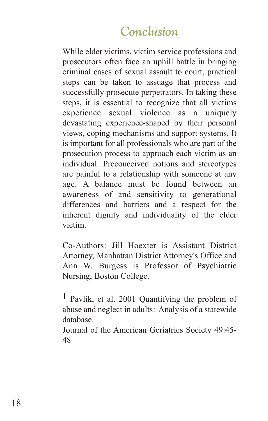#### *Conclusion*

While elder victims, victim service professions and prosecutors often face an uphill battle in bringing criminal cases of sexual assault to court, practical steps can be taken to assuage that process and successfully prosecute perpetrators. In taking these steps, it is essential to recognize that all victims experience sexual violence as a uniquely devastating experience-shaped by their personal views, coping mechanisms and support systems. It is important for all professionals who are part of the prosecution process to approach each victim as an individual. Preconceived notions and stereotypes are painful to a relationship with someone at any age. A balance must be found between an awareness of and sensitivity to generational differences and barriers and a respect for the inherent dignity and individuality of the elder victim.

Co-Authors: Jill Hoexter is Assistant District Attorney, Manhattan District Attorney's Office and Ann W. Burgess is Professor of Psychiatric Nursing, Boston College.

1 Pavlik, et al. 2001 Quantifying the problem of abuse and neglect in adults: Analysis of a statewide database.

Journal of the American Geriatrics Society 49:45- 48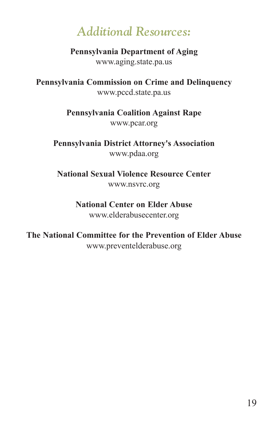### *Additional Resources:*

**Pennsylvania Department of Aging** www.aging.state.pa.us

**Pennsylvania Commission on Crime and Delinquency** www.pccd.state.pa.us

> **Pennsylvania Coalition Against Rape** www.pcar.org

**Pennsylvania District Attorney's Association** www.pdaa.org

**National Sexual Violence Resource Center** www.nsvrc.org

#### **National Center on Elder Abuse**

www.elderabusecenter.org

**The National Committee for the Prevention of Elder Abuse** www.preventelderabuse.org